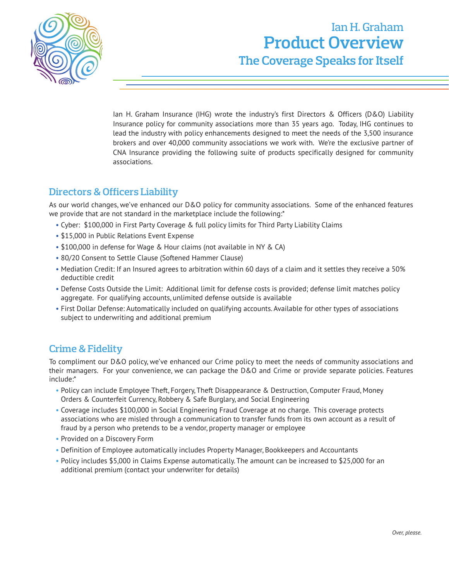

## Ian H. Graham **Product Overview The Coverage Speaks for Itself**

Ian H. Graham Insurance (IHG) wrote the industry's first Directors & Officers (D&O) Liability Insurance policy for community associations more than 35 years ago. Today, IHG continues to lead the industry with policy enhancements designed to meet the needs of the 3,500 insurance brokers and over 40,000 community associations we work with. We're the exclusive partner of CNA Insurance providing the following suite of products specifically designed for community associations.

## **Directors & Officers Liability**

As our world changes, we've enhanced our D&O policy for community associations. Some of the enhanced features we provide that are not standard in the marketplace include the following:\*

- Cyber: \$100,000 in First Party Coverage & full policy limits for Third Party Liability Claims
- \$15,000 in Public Relations Event Expense
- \$100,000 in defense for Wage & Hour claims (not available in NY & CA)
- 80/20 Consent to Settle Clause (Softened Hammer Clause)
- Mediation Credit: If an Insured agrees to arbitration within 60 days of a claim and it settles they receive a 50% deductible credit
- Defense Costs Outside the Limit: Additional limit for defense costs is provided; defense limit matches policy aggregate. For qualifying accounts, unlimited defense outside is available
- First Dollar Defense: Automatically included on qualifying accounts. Available for other types of associations subject to underwriting and additional premium

## **Crime & Fidelity**

To compliment our D&O policy, we've enhanced our Crime policy to meet the needs of community associations and their managers. For your convenience, we can package the D&O and Crime or provide separate policies. Features include:\*

- Policy can include Employee Theft, Forgery, Theft Disappearance & Destruction, Computer Fraud, Money Orders & Counterfeit Currency, Robbery & Safe Burglary, and Social Engineering
- Coverage includes \$100,000 in Social Engineering Fraud Coverage at no charge. This coverage protects associations who are misled through a communication to transfer funds from its own account as a result of fraud by a person who pretends to be a vendor, property manager or employee
- Provided on a Discovery Form
- Definition of Employee automatically includes Property Manager, Bookkeepers and Accountants
- Policy includes \$5,000 in Claims Expense automatically. The amount can be increased to \$25,000 for an additional premium (contact your underwriter for details)